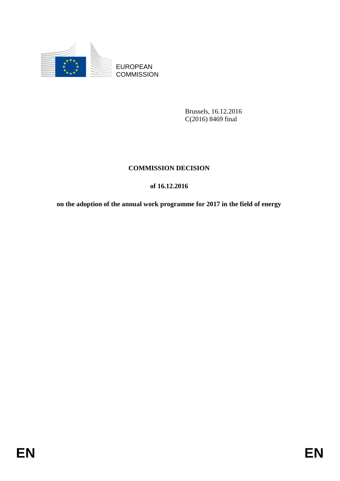

**COMMISSION** 

Brussels, 16.12.2016 C(2016) 8469 final

# **COMMISSION DECISION**

# **of 16.12.2016**

EUROPEAN<br>
EUROPEAN<br>
ENTRE COMMISSION<br>
Runsels, 16.12.2016<br>
COMMISSION<br>
DENTRESSION<br>
COMMISSION DECISION<br>
of 16.12.2016<br>
on the adoption of the annual work programme for 2017 in the field of energy<br>
FINEN **on the adoption of the annual work programme for 2017 in the field of energy**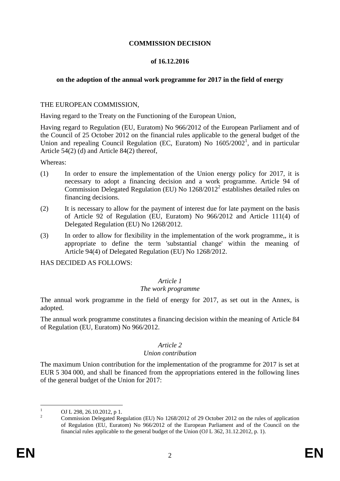# **COMMISSION DECISION**

### **of 16.12.2016**

# **on the adoption of the annual work programme for 2017 in the field of energy**

### THE EUROPEAN COMMISSION,

Having regard to the Treaty on the Functioning of the European Union,

Having regard to Regulation (EU, Euratom) No 966/2012 of the European Parliament and of the Council of 25 October 2012 on the financial rules applicable to the general budget of the Union and repealing Council Regulation (EC, Euratom) No  $1605/2002<sup>1</sup>$ , and in particular Article 54(2) (d) and Article 84(2) thereof,

Whereas:

- (1) In order to ensure the implementation of the Union energy policy for 2017, it is necessary to adopt a financing decision and a work programme. Article 94 of Commission Delegated Regulation (EU) No 1268/2012<sup>2</sup> establishes detailed rules on financing decisions.
- (2) It is necessary to allow for the payment of interest due for late payment on the basis of Article 92 of Regulation (EU, Euratom) No 966/2012 and Article 111(4) of Delegated Regulation (EU) No 1268/2012.
- (3) In order to allow for flexibility in the implementation of the work programme,, it is appropriate to define the term 'substantial change' within the meaning of Article 94(4) of Delegated Regulation (EU) No 1268/2012.

HAS DECIDED AS FOLLOWS:

#### *Article 1*

#### *The work programme*

The annual work programme in the field of energy for 2017, as set out in the Annex, is adopted.

The annual work programme constitutes a financing decision within the meaning of Article 84 of Regulation (EU, Euratom) No 966/2012.

#### *Article 2*

#### *Union contribution*

The maximum Union contribution for the implementation of the programme for 2017 is set at EUR 5 304 000, and shall be financed from the appropriations entered in the following lines of the general budget of the Union for 2017:

 $\mathbf{1}$  $\frac{1}{2}$  OJ L 298, 26.10.2012, p 1.

<sup>2</sup> Commission Delegated Regulation (EU) No 1268/2012 of 29 October 2012 on the rules of application of Regulation (EU, Euratom) No 966/2012 of the European Parliament and of the Council on the financial rules applicable to the general budget of the Union (OJ L 362, 31.12.2012, p. 1).